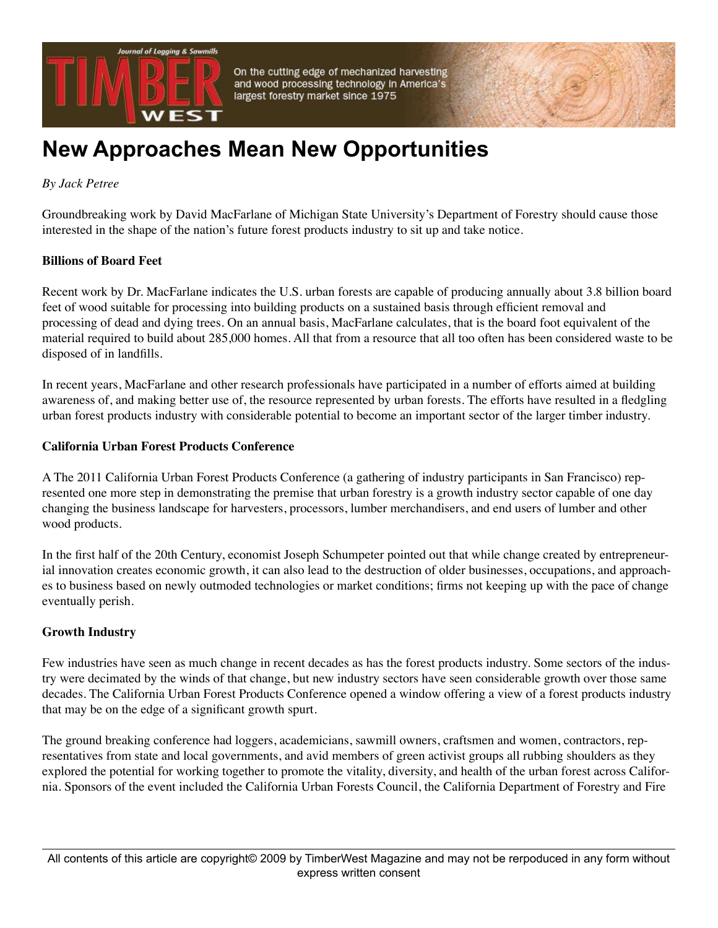

On the cutting edge of mechanized harvesting and wood processing technology in America's largest forestry market since 1975

# **New Approaches Mean New Opportunities**

*By Jack Petree*

Groundbreaking work by David MacFarlane of Michigan State University's Department of Forestry should cause those interested in the shape of the nation's future forest products industry to sit up and take notice.

### **Billions of Board Feet**

Recent work by Dr. MacFarlane indicates the U.S. urban forests are capable of producing annually about 3.8 billion board feet of wood suitable for processing into building products on a sustained basis through efficient removal and processing of dead and dying trees. On an annual basis, MacFarlane calculates, that is the board foot equivalent of the material required to build about 285,000 homes. All that from a resource that all too often has been considered waste to be disposed of in landfills.

In recent years, MacFarlane and other research professionals have participated in a number of efforts aimed at building awareness of, and making better use of, the resource represented by urban forests. The efforts have resulted in a fledgling urban forest products industry with considerable potential to become an important sector of the larger timber industry.

### **California Urban Forest Products Conference**

A The 2011 California Urban Forest Products Conference (a gathering of industry participants in San Francisco) represented one more step in demonstrating the premise that urban forestry is a growth industry sector capable of one day changing the business landscape for harvesters, processors, lumber merchandisers, and end users of lumber and other wood products.

In the first half of the 20th Century, economist Joseph Schumpeter pointed out that while change created by entrepreneurial innovation creates economic growth, it can also lead to the destruction of older businesses, occupations, and approaches to business based on newly outmoded technologies or market conditions; firms not keeping up with the pace of change eventually perish.

## **Growth Industry**

Few industries have seen as much change in recent decades as has the forest products industry. Some sectors of the industry were decimated by the winds of that change, but new industry sectors have seen considerable growth over those same decades. The California Urban Forest Products Conference opened a window offering a view of a forest products industry that may be on the edge of a significant growth spurt.

The ground breaking conference had loggers, academicians, sawmill owners, craftsmen and women, contractors, representatives from state and local governments, and avid members of green activist groups all rubbing shoulders as they explored the potential for working together to promote the vitality, diversity, and health of the urban forest across California. Sponsors of the event included the California Urban Forests Council, the California Department of Forestry and Fire